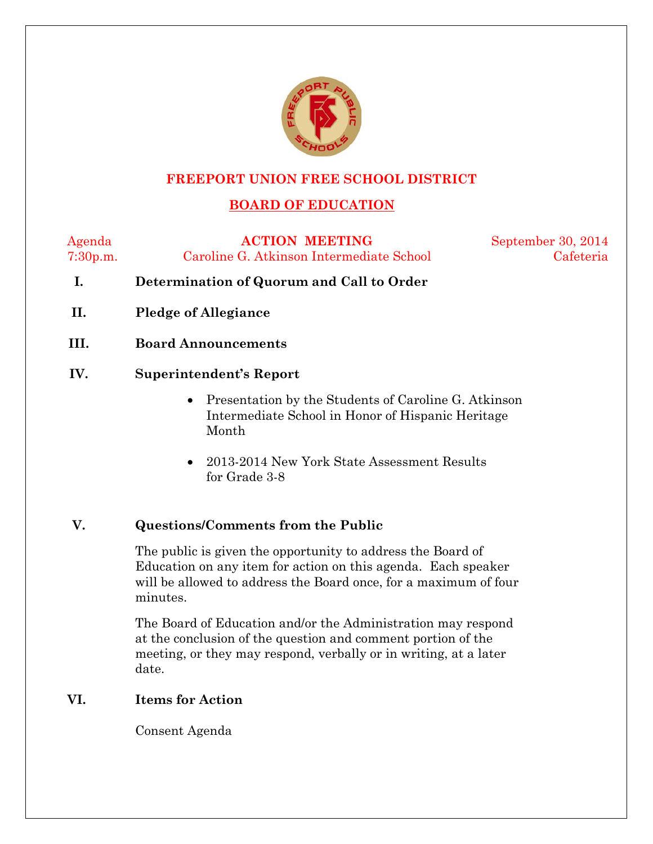

### **FREEPORT UNION FREE SCHOOL DISTRICT**

# **BOARD OF EDUCATION**

Agenda **ACTION MEETING** September 30, 2014 7:30p.m. Caroline G. Atkinson Intermediate School Cafeteria

- **I. Determination of Quorum and Call to Order**
- **II. Pledge of Allegiance**
- **III. Board Announcements**

#### **IV. Superintendent's Report**

- Presentation by the Students of Caroline G. Atkinson Intermediate School in Honor of Hispanic Heritage Month
- 2013-2014 New York State Assessment Results for Grade 3-8

### **V. Questions/Comments from the Public**

The public is given the opportunity to address the Board of Education on any item for action on this agenda. Each speaker will be allowed to address the Board once, for a maximum of four minutes.

The Board of Education and/or the Administration may respond at the conclusion of the question and comment portion of the meeting, or they may respond, verbally or in writing, at a later date.

#### **VI. Items for Action**

Consent Agenda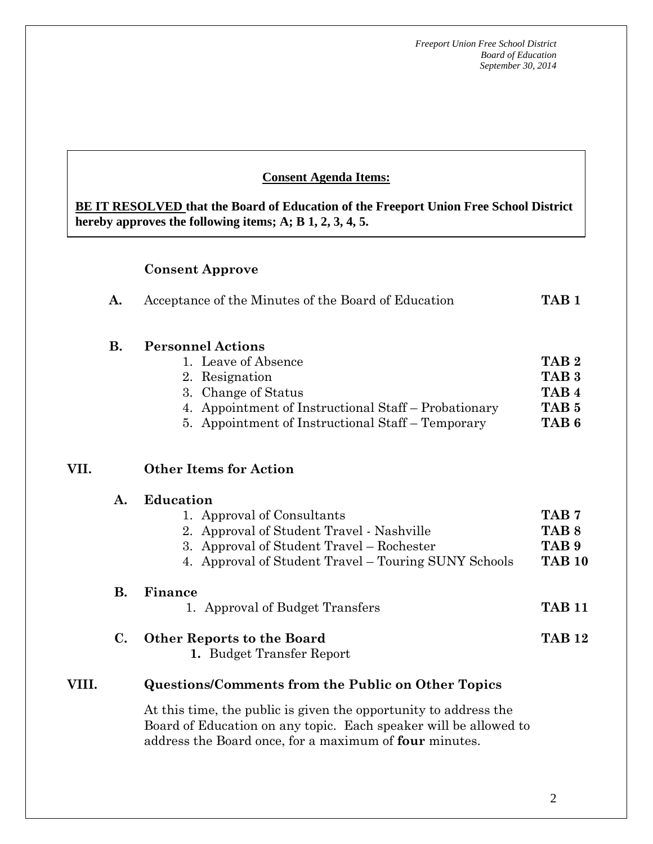#### **Consent Agenda Items:**

**BE IT RESOLVED that the Board of Education of the Freeport Union Free School District hereby approves the following items; A; B 1, 2, 3, 4, 5.**

#### **Consent Approve**

| A. | Acceptance of the Minutes of the Board of Education | TAB <sub>1</sub> |
|----|-----------------------------------------------------|------------------|
|----|-----------------------------------------------------|------------------|

#### **B. Personnel Actions**

| 1. Leave of Absence                                  | TAB <sub>2</sub> |
|------------------------------------------------------|------------------|
| 2. Resignation                                       | TAB <sub>3</sub> |
| 3. Change of Status                                  | TAB <sub>4</sub> |
| 4. Appointment of Instructional Staff – Probationary | TAB <sub>5</sub> |
| 5. Appointment of Instructional Staff – Temporary    | TAB 6            |

#### **VII. Other Items for Action**

|       | A. | <b>Education</b>                                     |                  |  |  |  |
|-------|----|------------------------------------------------------|------------------|--|--|--|
|       |    | 1. Approval of Consultants                           | TAB <sub>7</sub> |  |  |  |
|       |    | 2. Approval of Student Travel - Nashville            | TAB 8            |  |  |  |
|       |    | 3. Approval of Student Travel – Rochester            | TAB <sub>9</sub> |  |  |  |
|       |    | 4. Approval of Student Travel – Touring SUNY Schools | <b>TAB 10</b>    |  |  |  |
|       | В. | Finance                                              |                  |  |  |  |
|       |    | 1. Approval of Budget Transfers                      | <b>TAB 11</b>    |  |  |  |
|       | C. | <b>Other Reports to the Board</b>                    | <b>TAB 12</b>    |  |  |  |
|       |    | 1. Budget Transfer Report                            |                  |  |  |  |
| VIII. |    | Questions/Comments from the Public on Other Topics   |                  |  |  |  |
|       |    |                                                      |                  |  |  |  |

At this time, the public is given the opportunity to address the Board of Education on any topic. Each speaker will be allowed to address the Board once, for a maximum of **four** minutes.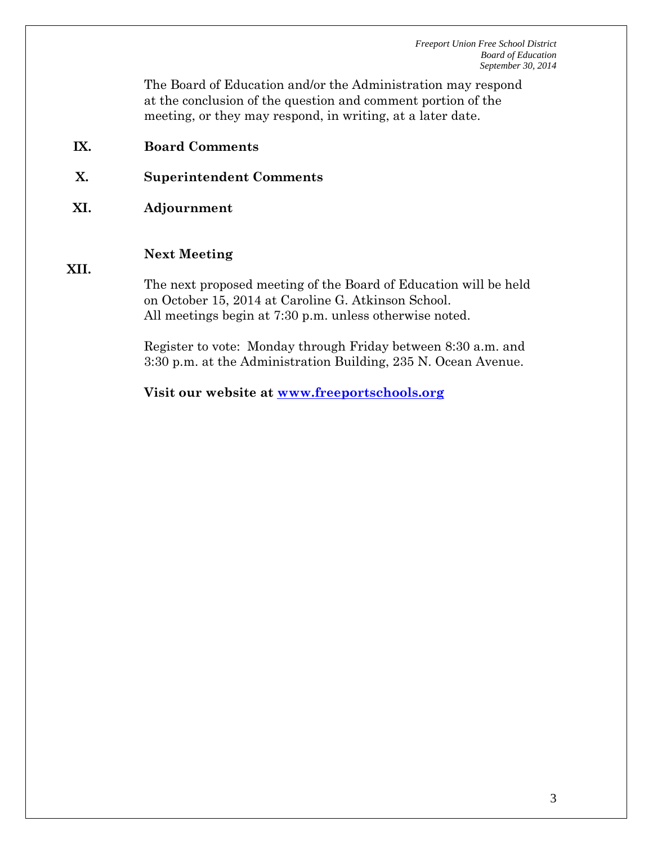The Board of Education and/or the Administration may respond at the conclusion of the question and comment portion of the meeting, or they may respond, in writing, at a later date.

- **IX. Board Comments**
- **X. Superintendent Comments**
- **XI. Adjournment**

#### **Next Meeting**

**XII.**

The next proposed meeting of the Board of Education will be held on October 15, 2014 at Caroline G. Atkinson School. All meetings begin at 7:30 p.m. unless otherwise noted.

Register to vote: Monday through Friday between 8:30 a.m. and 3:30 p.m. at the Administration Building, 235 N. Ocean Avenue.

**Visit our website at [www.freeportschools.org](http://www.freeportschools.org/)**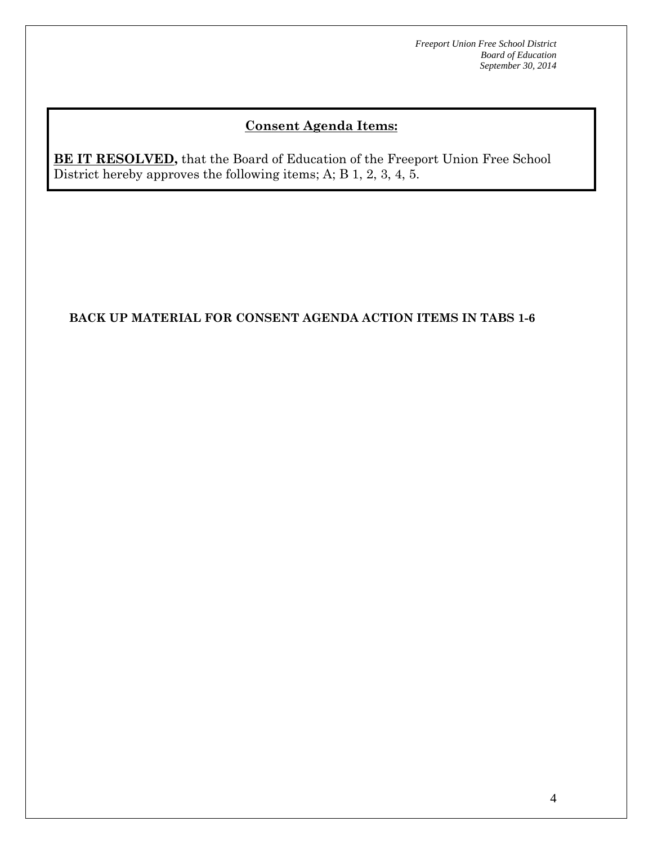# **Consent Agenda Items:**

**BE IT RESOLVED,** that the Board of Education of the Freeport Union Free School District hereby approves the following items; A; B 1, 2, 3, 4, 5.

### **BACK UP MATERIAL FOR CONSENT AGENDA ACTION ITEMS IN TABS 1-6**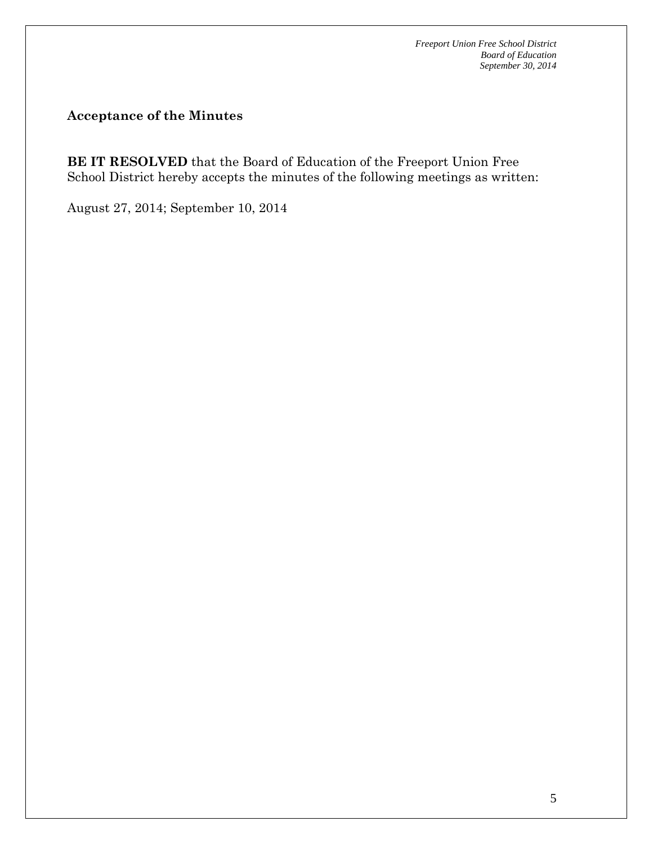**Acceptance of the Minutes**

**BE IT RESOLVED** that the Board of Education of the Freeport Union Free School District hereby accepts the minutes of the following meetings as written:

August 27, 2014; September 10, 2014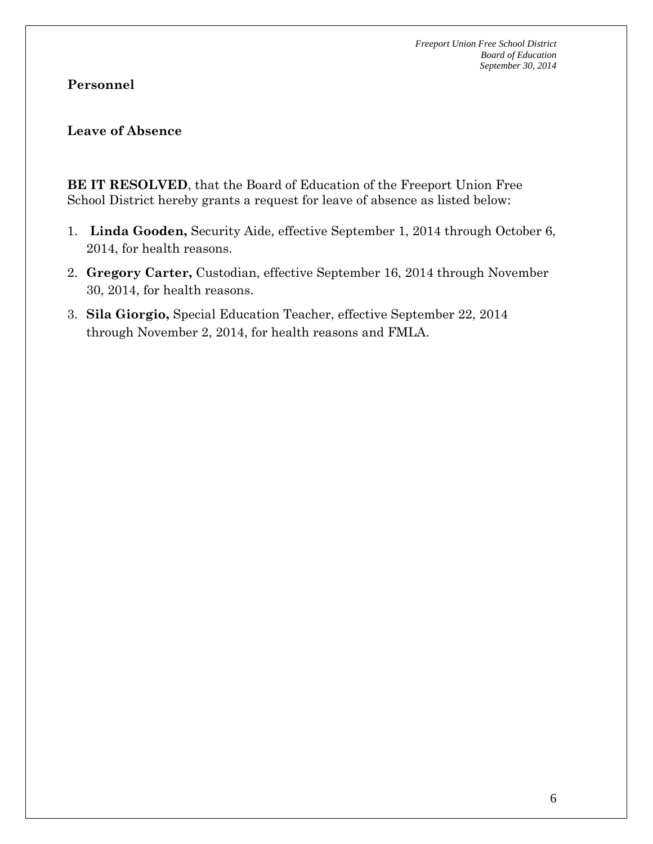### **Personnel**

#### **Leave of Absence**

**BE IT RESOLVED**, that the Board of Education of the Freeport Union Free School District hereby grants a request for leave of absence as listed below:

- 1. **Linda Gooden,** Security Aide, effective September 1, 2014 through October 6, 2014, for health reasons.
- 2. **Gregory Carter,** Custodian, effective September 16, 2014 through November 30, 2014, for health reasons.
- 3. **Sila Giorgio,** Special Education Teacher, effective September 22, 2014 through November 2, 2014, for health reasons and FMLA.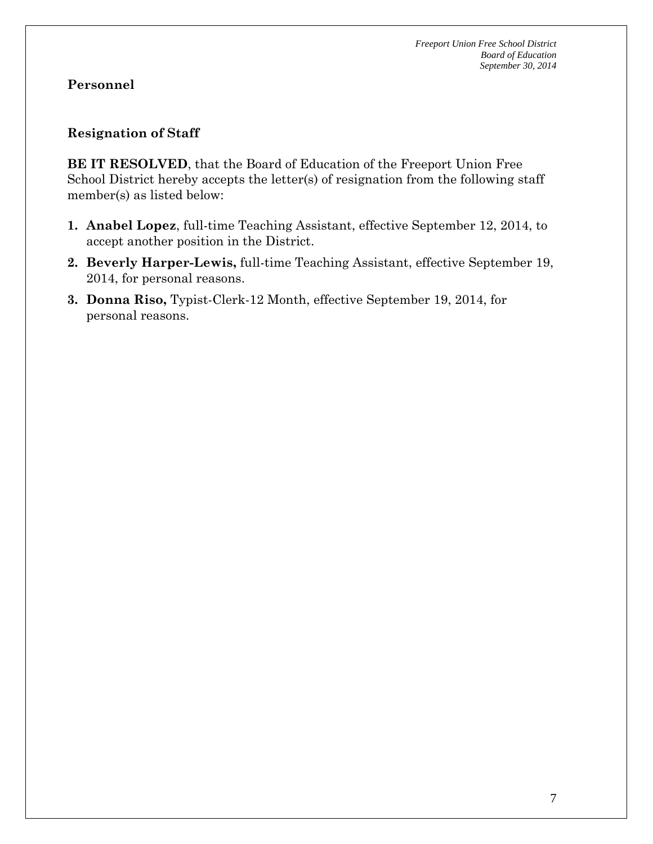## **Personnel**

### **Resignation of Staff**

**BE IT RESOLVED**, that the Board of Education of the Freeport Union Free School District hereby accepts the letter(s) of resignation from the following staff member(s) as listed below:

- **1. Anabel Lopez**, full-time Teaching Assistant, effective September 12, 2014, to accept another position in the District.
- **2. Beverly Harper-Lewis,** full-time Teaching Assistant, effective September 19, 2014, for personal reasons.
- **3. Donna Riso,** Typist-Clerk-12 Month, effective September 19, 2014, for personal reasons.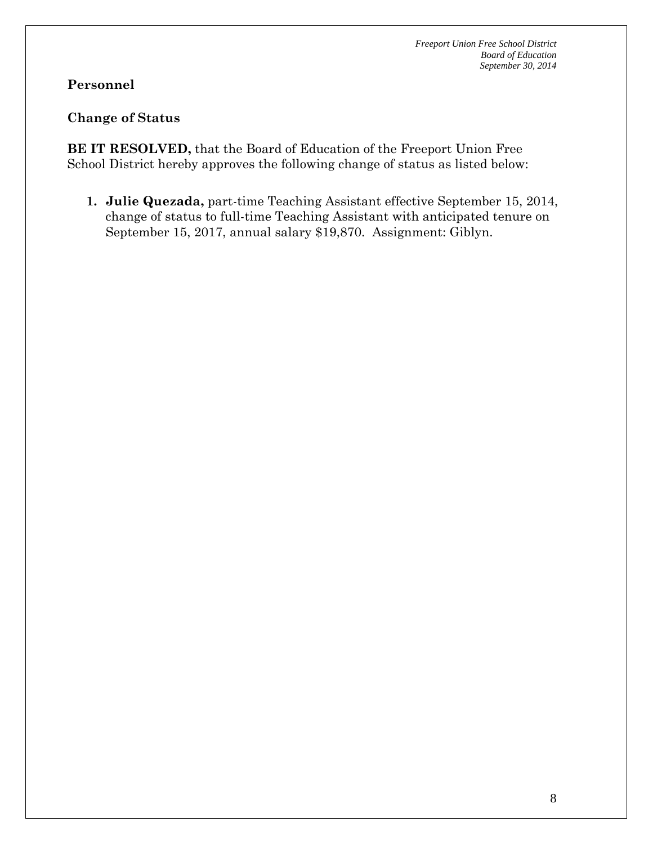### **Personnel**

#### **Change of Status**

**BE IT RESOLVED,** that the Board of Education of the Freeport Union Free School District hereby approves the following change of status as listed below:

**1. Julie Quezada,** part-time Teaching Assistant effective September 15, 2014, change of status to full-time Teaching Assistant with anticipated tenure on September 15, 2017, annual salary \$19,870. Assignment: Giblyn.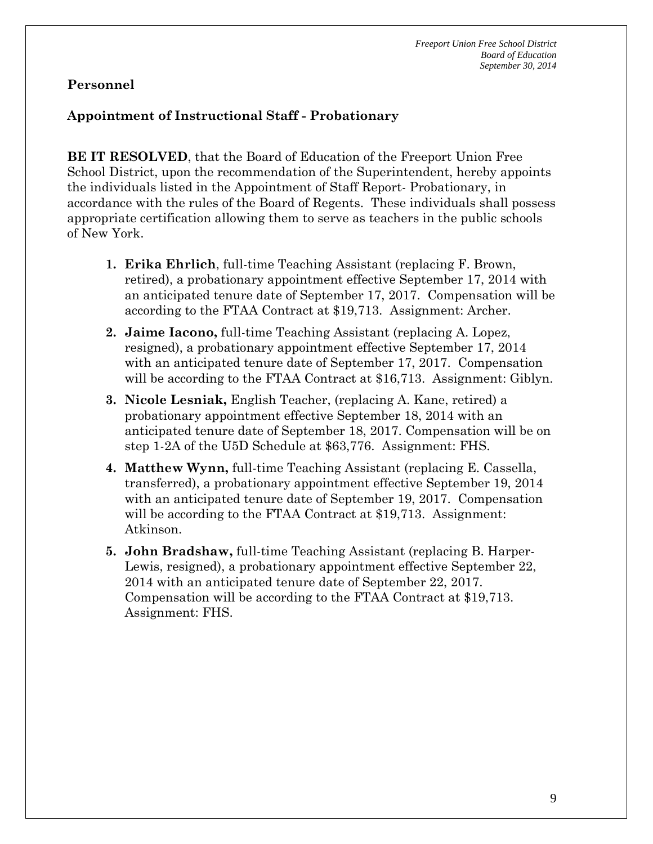## **Personnel**

### **Appointment of Instructional Staff - Probationary**

**BE IT RESOLVED**, that the Board of Education of the Freeport Union Free School District, upon the recommendation of the Superintendent, hereby appoints the individuals listed in the Appointment of Staff Report- Probationary, in accordance with the rules of the Board of Regents. These individuals shall possess appropriate certification allowing them to serve as teachers in the public schools of New York.

- **1. Erika Ehrlich**, full-time Teaching Assistant (replacing F. Brown, retired), a probationary appointment effective September 17, 2014 with an anticipated tenure date of September 17, 2017. Compensation will be according to the FTAA Contract at \$19,713. Assignment: Archer.
- **2. Jaime Iacono,** full-time Teaching Assistant (replacing A. Lopez, resigned), a probationary appointment effective September 17, 2014 with an anticipated tenure date of September 17, 2017. Compensation will be according to the FTAA Contract at \$16,713. Assignment: Giblyn.
- **3. Nicole Lesniak,** English Teacher, (replacing A. Kane, retired) a probationary appointment effective September 18, 2014 with an anticipated tenure date of September 18, 2017. Compensation will be on step 1-2A of the U5D Schedule at \$63,776. Assignment: FHS.
- **4. Matthew Wynn,** full-time Teaching Assistant (replacing E. Cassella, transferred), a probationary appointment effective September 19, 2014 with an anticipated tenure date of September 19, 2017. Compensation will be according to the FTAA Contract at \$19,713. Assignment: Atkinson.
- **5. John Bradshaw,** full-time Teaching Assistant (replacing B. Harper-Lewis, resigned), a probationary appointment effective September 22, 2014 with an anticipated tenure date of September 22, 2017. Compensation will be according to the FTAA Contract at \$19,713. Assignment: FHS.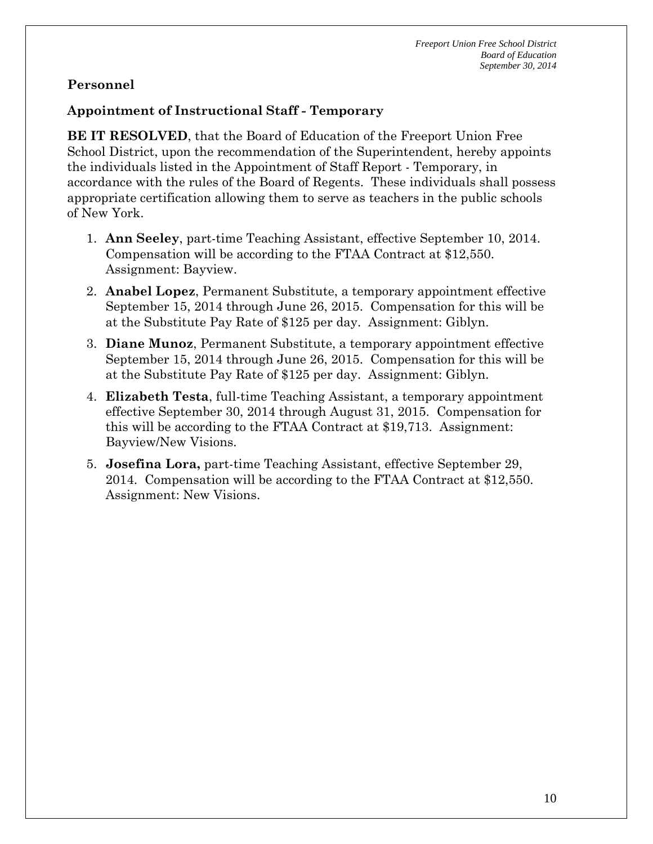### **Personnel**

### **Appointment of Instructional Staff - Temporary**

**BE IT RESOLVED**, that the Board of Education of the Freeport Union Free School District, upon the recommendation of the Superintendent, hereby appoints the individuals listed in the Appointment of Staff Report - Temporary, in accordance with the rules of the Board of Regents. These individuals shall possess appropriate certification allowing them to serve as teachers in the public schools of New York.

- 1. **Ann Seeley**, part-time Teaching Assistant, effective September 10, 2014. Compensation will be according to the FTAA Contract at \$12,550. Assignment: Bayview.
- 2. **Anabel Lopez**, Permanent Substitute, a temporary appointment effective September 15, 2014 through June 26, 2015. Compensation for this will be at the Substitute Pay Rate of \$125 per day. Assignment: Giblyn.
- 3. **Diane Munoz**, Permanent Substitute, a temporary appointment effective September 15, 2014 through June 26, 2015. Compensation for this will be at the Substitute Pay Rate of \$125 per day. Assignment: Giblyn.
- 4. **Elizabeth Testa**, full-time Teaching Assistant, a temporary appointment effective September 30, 2014 through August 31, 2015. Compensation for this will be according to the FTAA Contract at \$19,713. Assignment: Bayview/New Visions.
- 5. **Josefina Lora,** part-time Teaching Assistant, effective September 29, 2014. Compensation will be according to the FTAA Contract at \$12,550. Assignment: New Visions.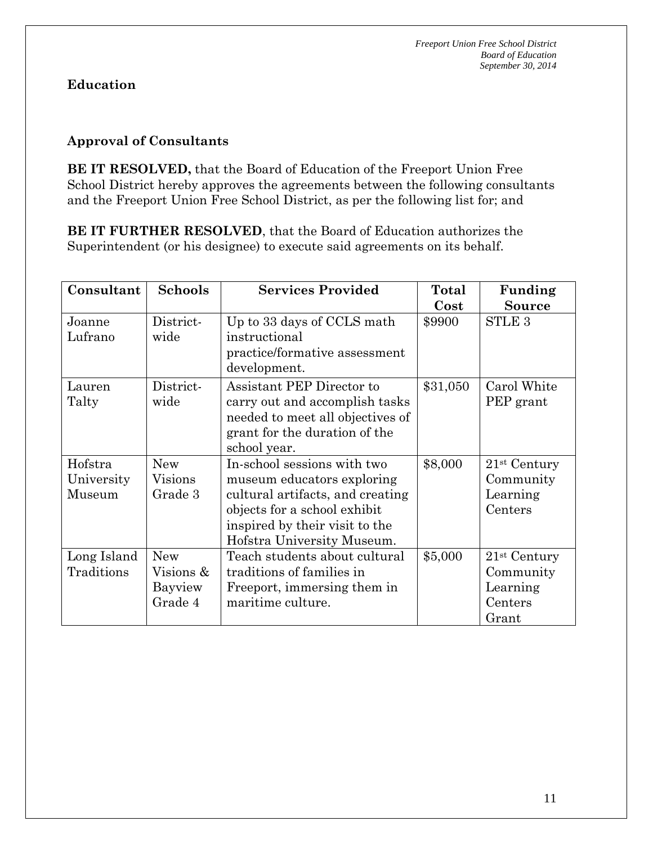### **Approval of Consultants**

**BE IT RESOLVED,** that the Board of Education of the Freeport Union Free School District hereby approves the agreements between the following consultants and the Freeport Union Free School District, as per the following list for; and

**BE IT FURTHER RESOLVED**, that the Board of Education authorizes the Superintendent (or his designee) to execute said agreements on its behalf.

| Consultant                      | <b>Schools</b>                                | <b>Services Provided</b>                                                                                                                                                                      | Total<br>Cost | Funding<br><b>Source</b>                                       |
|---------------------------------|-----------------------------------------------|-----------------------------------------------------------------------------------------------------------------------------------------------------------------------------------------------|---------------|----------------------------------------------------------------|
| Joanne<br>Lufrano               | District-<br>wide                             | Up to 33 days of CCLS math<br>instructional<br>practice/formative assessment<br>development.                                                                                                  | \$9900        | <b>STLE 3</b>                                                  |
| Lauren<br>Talty                 | District-<br>wide                             | Assistant PEP Director to<br>carry out and accomplish tasks<br>needed to meet all objectives of<br>grant for the duration of the<br>school year.                                              | \$31,050      | Carol White<br>PEP grant                                       |
| Hofstra<br>University<br>Museum | <b>New</b><br>Visions<br>Grade 3              | In-school sessions with two<br>museum educators exploring<br>cultural artifacts, and creating<br>objects for a school exhibit<br>inspired by their visit to the<br>Hofstra University Museum. | \$8,000       | $21$ <sup>st</sup> Century<br>Community<br>Learning<br>Centers |
| Long Island<br>Traditions       | <b>New</b><br>Visions &<br>Bayview<br>Grade 4 | Teach students about cultural<br>traditions of families in<br>Freeport, immersing them in<br>maritime culture.                                                                                | \$5,000       | $21st$ Century<br>Community<br>Learning<br>Centers<br>Grant    |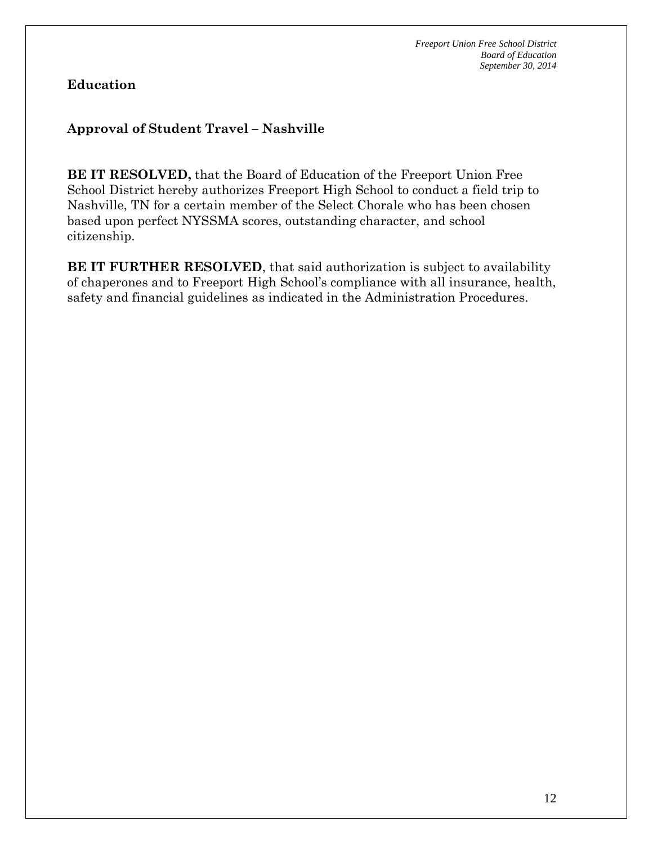# **Approval of Student Travel – Nashville**

**BE IT RESOLVED,** that the Board of Education of the Freeport Union Free School District hereby authorizes Freeport High School to conduct a field trip to Nashville, TN for a certain member of the Select Chorale who has been chosen based upon perfect NYSSMA scores, outstanding character, and school citizenship.

**BE IT FURTHER RESOLVED**, that said authorization is subject to availability of chaperones and to Freeport High School's compliance with all insurance, health, safety and financial guidelines as indicated in the Administration Procedures.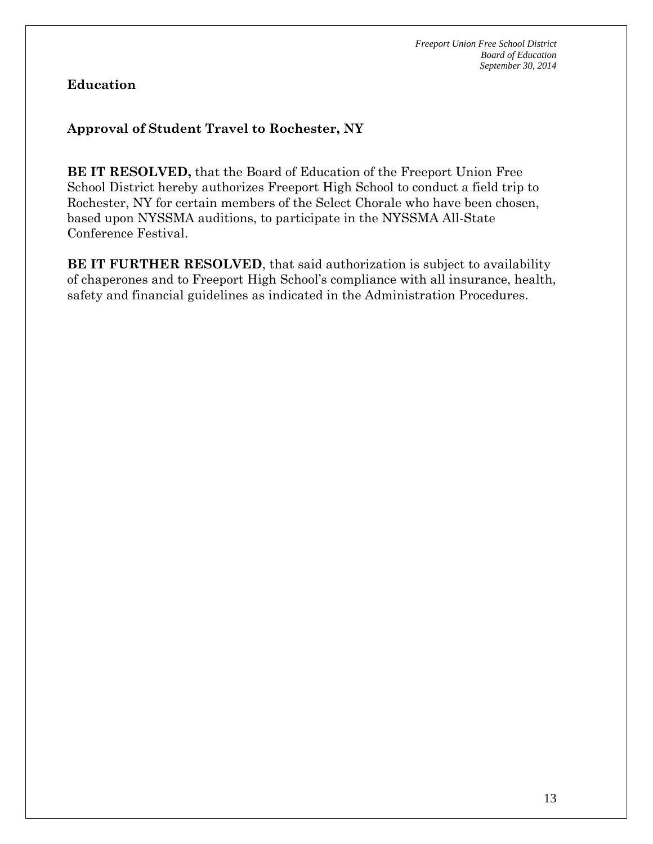### **Approval of Student Travel to Rochester, NY**

**BE IT RESOLVED,** that the Board of Education of the Freeport Union Free School District hereby authorizes Freeport High School to conduct a field trip to Rochester, NY for certain members of the Select Chorale who have been chosen, based upon NYSSMA auditions, to participate in the NYSSMA All-State Conference Festival.

**BE IT FURTHER RESOLVED**, that said authorization is subject to availability of chaperones and to Freeport High School's compliance with all insurance, health, safety and financial guidelines as indicated in the Administration Procedures.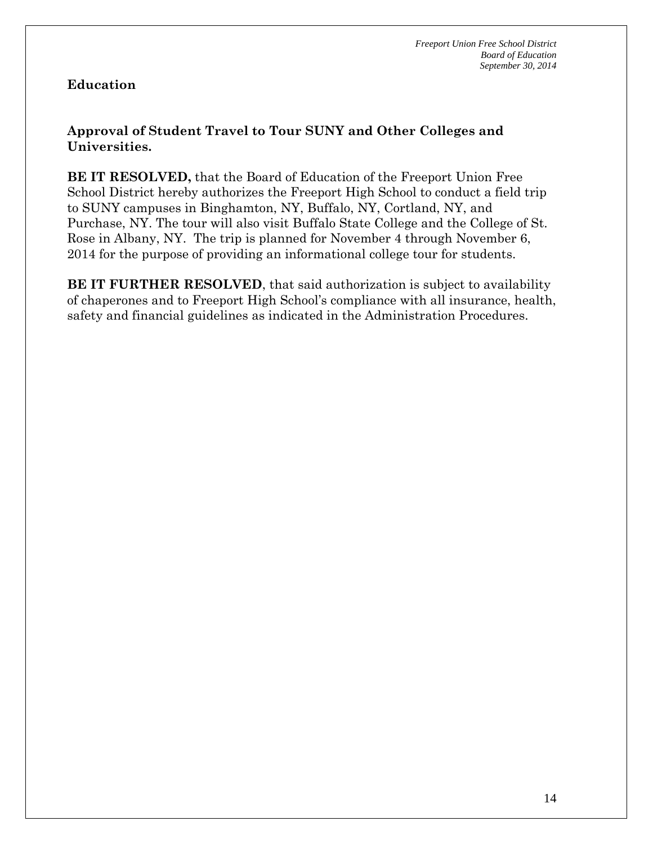### **Approval of Student Travel to Tour SUNY and Other Colleges and Universities.**

**BE IT RESOLVED,** that the Board of Education of the Freeport Union Free School District hereby authorizes the Freeport High School to conduct a field trip to SUNY campuses in Binghamton, NY, Buffalo, NY, Cortland, NY, and Purchase, NY. The tour will also visit Buffalo State College and the College of St. Rose in Albany, NY. The trip is planned for November 4 through November 6, 2014 for the purpose of providing an informational college tour for students.

**BE IT FURTHER RESOLVED**, that said authorization is subject to availability of chaperones and to Freeport High School's compliance with all insurance, health, safety and financial guidelines as indicated in the Administration Procedures.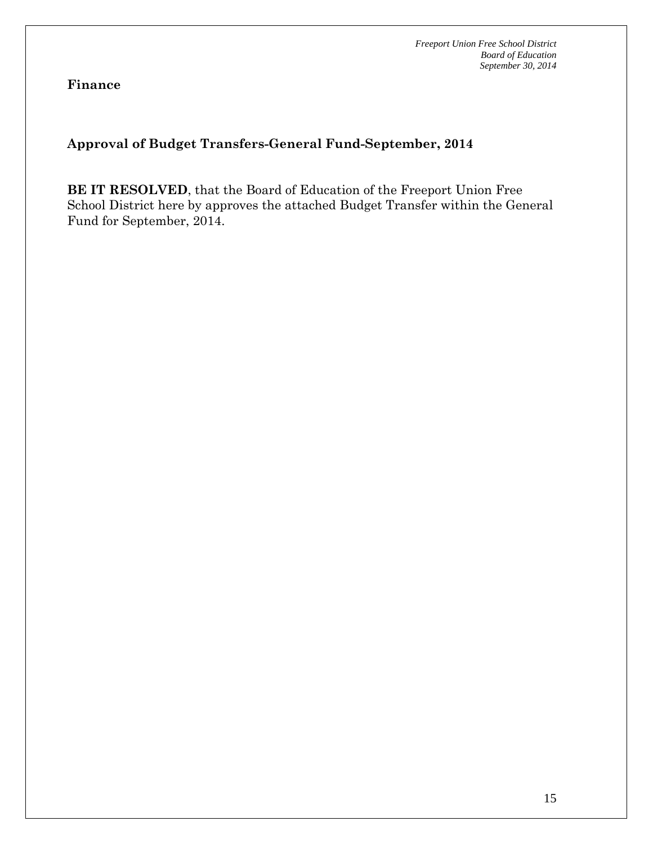**Finance**

# **Approval of Budget Transfers-General Fund-September, 2014**

**BE IT RESOLVED**, that the Board of Education of the Freeport Union Free School District here by approves the attached Budget Transfer within the General Fund for September, 2014.